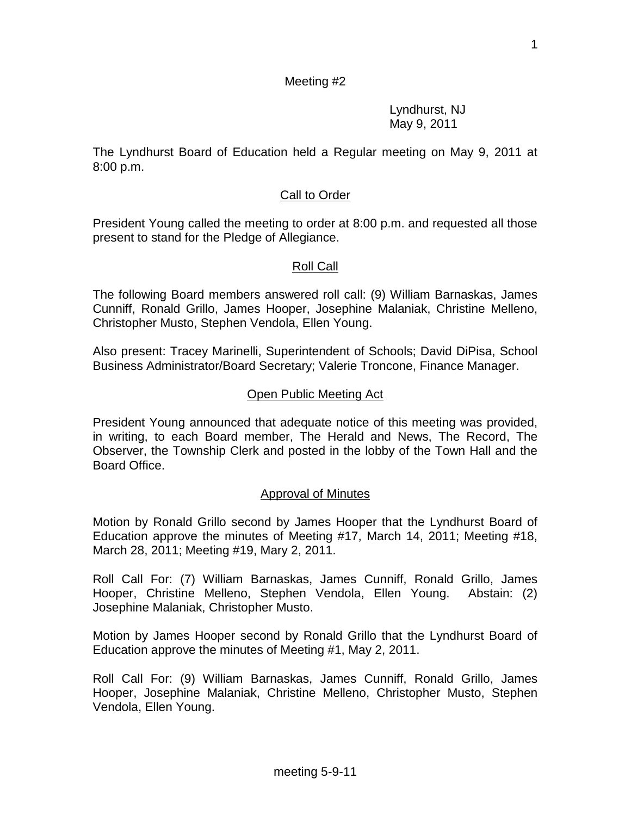#### Meeting #2

Lyndhurst, NJ May 9, 2011

The Lyndhurst Board of Education held a Regular meeting on May 9, 2011 at 8:00 p.m.

#### Call to Order

President Young called the meeting to order at 8:00 p.m. and requested all those present to stand for the Pledge of Allegiance.

#### Roll Call

The following Board members answered roll call: (9) William Barnaskas, James Cunniff, Ronald Grillo, James Hooper, Josephine Malaniak, Christine Melleno, Christopher Musto, Stephen Vendola, Ellen Young.

Also present: Tracey Marinelli, Superintendent of Schools; David DiPisa, School Business Administrator/Board Secretary; Valerie Troncone, Finance Manager.

#### Open Public Meeting Act

President Young announced that adequate notice of this meeting was provided, in writing, to each Board member, The Herald and News, The Record, The Observer, the Township Clerk and posted in the lobby of the Town Hall and the Board Office.

#### Approval of Minutes

Motion by Ronald Grillo second by James Hooper that the Lyndhurst Board of Education approve the minutes of Meeting #17, March 14, 2011; Meeting #18, March 28, 2011; Meeting #19, Mary 2, 2011.

Roll Call For: (7) William Barnaskas, James Cunniff, Ronald Grillo, James Hooper, Christine Melleno, Stephen Vendola, Ellen Young. Abstain: (2) Josephine Malaniak, Christopher Musto.

Motion by James Hooper second by Ronald Grillo that the Lyndhurst Board of Education approve the minutes of Meeting #1, May 2, 2011.

Roll Call For: (9) William Barnaskas, James Cunniff, Ronald Grillo, James Hooper, Josephine Malaniak, Christine Melleno, Christopher Musto, Stephen Vendola, Ellen Young.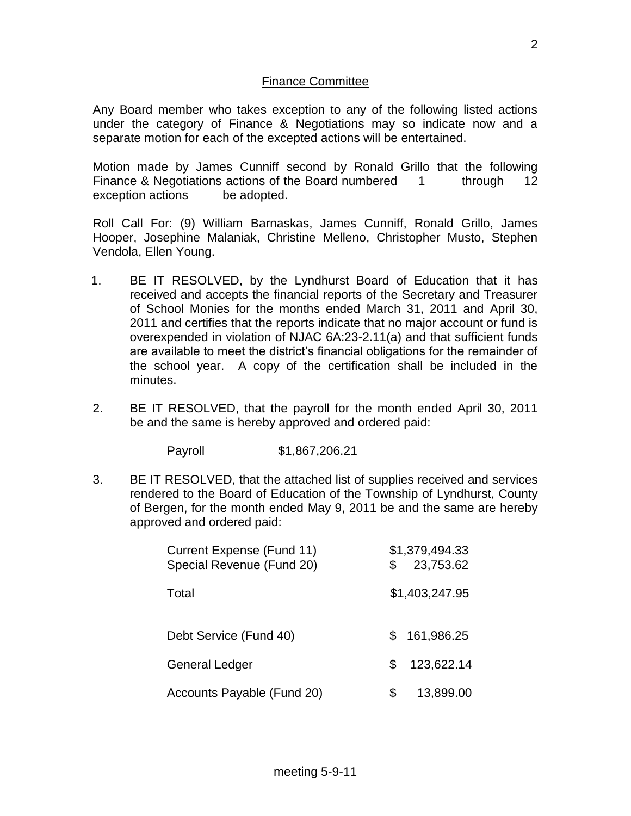#### Finance Committee

Any Board member who takes exception to any of the following listed actions under the category of Finance & Negotiations may so indicate now and a separate motion for each of the excepted actions will be entertained.

Motion made by James Cunniff second by Ronald Grillo that the following Finance & Negotiations actions of the Board numbered 1 through 12 exception actions be adopted.

Roll Call For: (9) William Barnaskas, James Cunniff, Ronald Grillo, James Hooper, Josephine Malaniak, Christine Melleno, Christopher Musto, Stephen Vendola, Ellen Young.

- 1. BE IT RESOLVED, by the Lyndhurst Board of Education that it has received and accepts the financial reports of the Secretary and Treasurer of School Monies for the months ended March 31, 2011 and April 30, 2011 and certifies that the reports indicate that no major account or fund is overexpended in violation of NJAC 6A:23-2.11(a) and that sufficient funds are available to meet the district's financial obligations for the remainder of the school year. A copy of the certification shall be included in the minutes.
- 2. BE IT RESOLVED, that the payroll for the month ended April 30, 2011 be and the same is hereby approved and ordered paid:

Payroll \$1,867,206.21

3. BE IT RESOLVED, that the attached list of supplies received and services rendered to the Board of Education of the Township of Lyndhurst, County of Bergen, for the month ended May 9, 2011 be and the same are hereby approved and ordered paid:

| Current Expense (Fund 11)<br>Special Revenue (Fund 20) | \$ | \$1,379,494.33<br>23,753.62 |
|--------------------------------------------------------|----|-----------------------------|
| Total                                                  |    | \$1,403,247.95              |
| Debt Service (Fund 40)                                 | S  | 161,986.25                  |
| <b>General Ledger</b>                                  | S. | 123,622.14                  |
| Accounts Payable (Fund 20)                             |    | 13,899.00                   |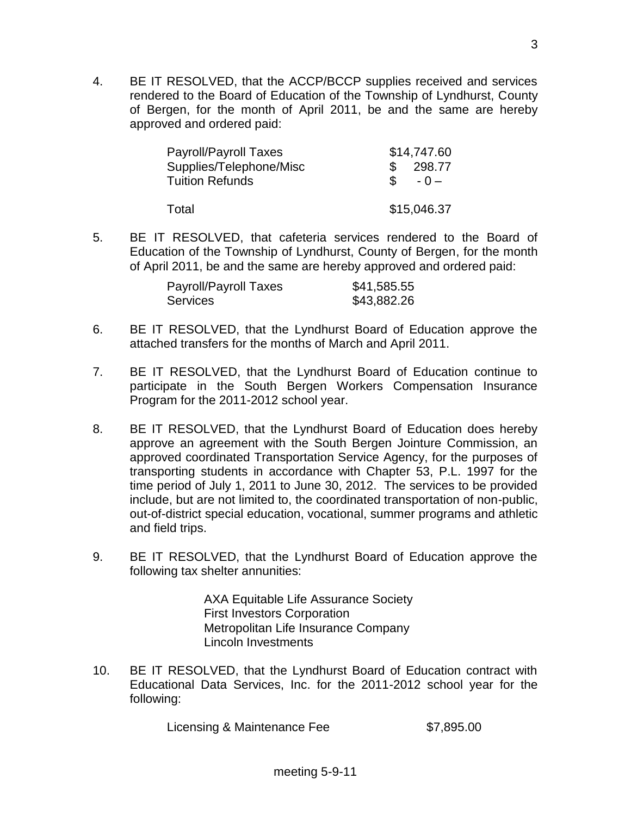4. BE IT RESOLVED, that the ACCP/BCCP supplies received and services rendered to the Board of Education of the Township of Lyndhurst, County of Bergen, for the month of April 2011, be and the same are hereby approved and ordered paid:

| <b>Payroll/Payroll Taxes</b> | \$14,747.60  |
|------------------------------|--------------|
| Supplies/Telephone/Misc      | 298.77       |
| <b>Tuition Refunds</b>       | SS.<br>$-0-$ |
|                              |              |
| Total                        | \$15,046.37  |

5. BE IT RESOLVED, that cafeteria services rendered to the Board of Education of the Township of Lyndhurst, County of Bergen, for the month of April 2011, be and the same are hereby approved and ordered paid:

| <b>Payroll/Payroll Taxes</b> | \$41,585.55 |
|------------------------------|-------------|
| Services                     | \$43,882.26 |

- 6. BE IT RESOLVED, that the Lyndhurst Board of Education approve the attached transfers for the months of March and April 2011.
- 7. BE IT RESOLVED, that the Lyndhurst Board of Education continue to participate in the South Bergen Workers Compensation Insurance Program for the 2011-2012 school year.
- 8. BE IT RESOLVED, that the Lyndhurst Board of Education does hereby approve an agreement with the South Bergen Jointure Commission, an approved coordinated Transportation Service Agency, for the purposes of transporting students in accordance with Chapter 53, P.L. 1997 for the time period of July 1, 2011 to June 30, 2012. The services to be provided include, but are not limited to, the coordinated transportation of non-public, out-of-district special education, vocational, summer programs and athletic and field trips.
- 9. BE IT RESOLVED, that the Lyndhurst Board of Education approve the following tax shelter annunities:

AXA Equitable Life Assurance Society First Investors Corporation Metropolitan Life Insurance Company Lincoln Investments

10. BE IT RESOLVED, that the Lyndhurst Board of Education contract with Educational Data Services, Inc. for the 2011-2012 school year for the following:

Licensing & Maintenance Fee \$7,895.00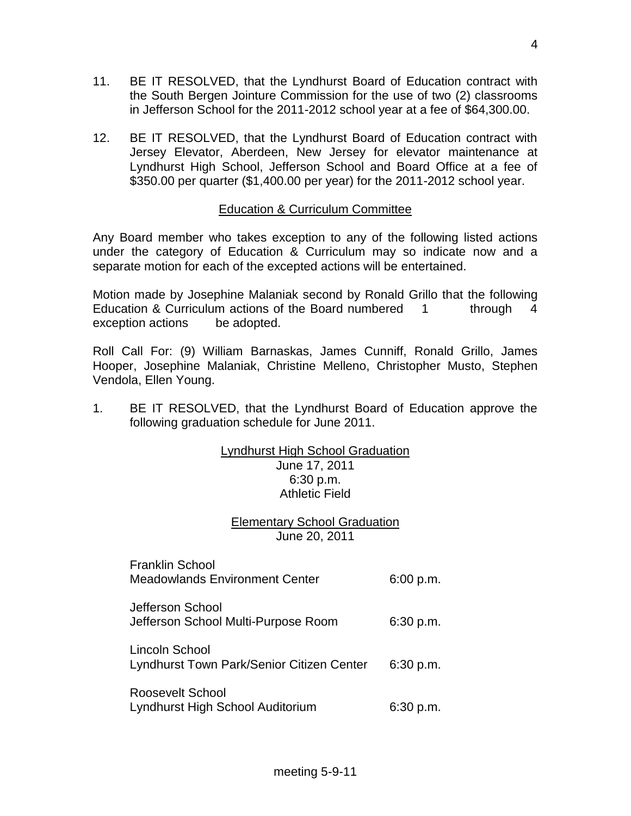- 11. BE IT RESOLVED, that the Lyndhurst Board of Education contract with the South Bergen Jointure Commission for the use of two (2) classrooms in Jefferson School for the 2011-2012 school year at a fee of \$64,300.00.
- 12. BE IT RESOLVED, that the Lyndhurst Board of Education contract with Jersey Elevator, Aberdeen, New Jersey for elevator maintenance at Lyndhurst High School, Jefferson School and Board Office at a fee of \$350.00 per quarter (\$1,400.00 per year) for the 2011-2012 school year.

## Education & Curriculum Committee

Any Board member who takes exception to any of the following listed actions under the category of Education & Curriculum may so indicate now and a separate motion for each of the excepted actions will be entertained.

Motion made by Josephine Malaniak second by Ronald Grillo that the following Education & Curriculum actions of the Board numbered 1 through 4 exception actions be adopted.

Roll Call For: (9) William Barnaskas, James Cunniff, Ronald Grillo, James Hooper, Josephine Malaniak, Christine Melleno, Christopher Musto, Stephen Vendola, Ellen Young.

1. BE IT RESOLVED, that the Lyndhurst Board of Education approve the following graduation schedule for June 2011.

#### Lyndhurst High School Graduation June 17, 2011 6:30 p.m. Athletic Field

# Elementary School Graduation June 20, 2011

| <b>Franklin School</b><br><b>Meadowlands Environment Center</b> | 6:00 p.m. |
|-----------------------------------------------------------------|-----------|
| Jefferson School<br>Jefferson School Multi-Purpose Room         | 6:30 p.m. |
| Lincoln School<br>Lyndhurst Town Park/Senior Citizen Center     | 6:30 p.m. |
| <b>Roosevelt School</b><br>Lyndhurst High School Auditorium     | 6:30 p.m. |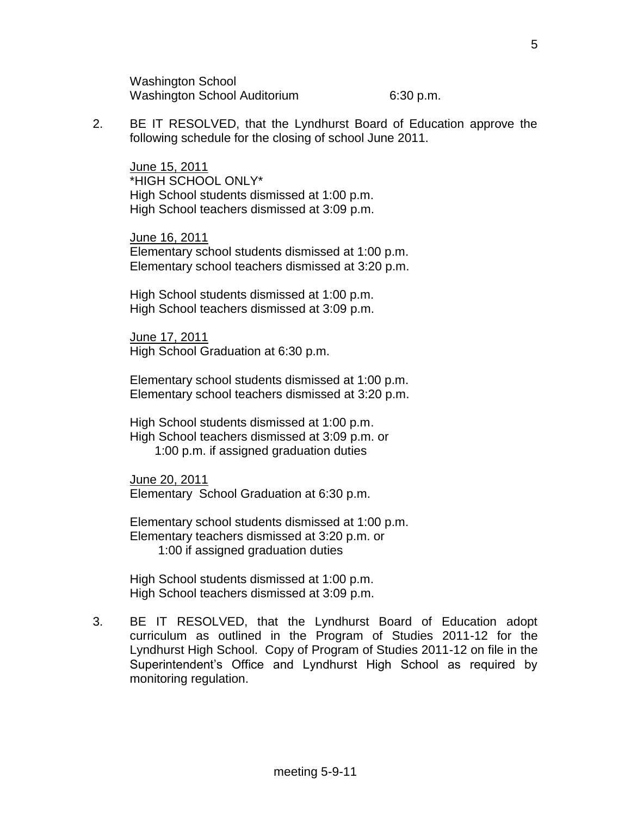Washington School Washington School Auditorium 6:30 p.m.

2. BE IT RESOLVED, that the Lyndhurst Board of Education approve the following schedule for the closing of school June 2011.

June 15, 2011 \*HIGH SCHOOL ONLY\* High School students dismissed at 1:00 p.m. High School teachers dismissed at 3:09 p.m.

June 16, 2011 Elementary school students dismissed at 1:00 p.m. Elementary school teachers dismissed at 3:20 p.m.

High School students dismissed at 1:00 p.m. High School teachers dismissed at 3:09 p.m.

June 17, 2011 High School Graduation at 6:30 p.m.

Elementary school students dismissed at 1:00 p.m. Elementary school teachers dismissed at 3:20 p.m.

High School students dismissed at 1:00 p.m. High School teachers dismissed at 3:09 p.m. or 1:00 p.m. if assigned graduation duties

June 20, 2011 Elementary School Graduation at 6:30 p.m.

Elementary school students dismissed at 1:00 p.m. Elementary teachers dismissed at 3:20 p.m. or 1:00 if assigned graduation duties

High School students dismissed at 1:00 p.m. High School teachers dismissed at 3:09 p.m.

3. BE IT RESOLVED, that the Lyndhurst Board of Education adopt curriculum as outlined in the Program of Studies 2011-12 for the Lyndhurst High School. Copy of Program of Studies 2011-12 on file in the Superintendent's Office and Lyndhurst High School as required by monitoring regulation.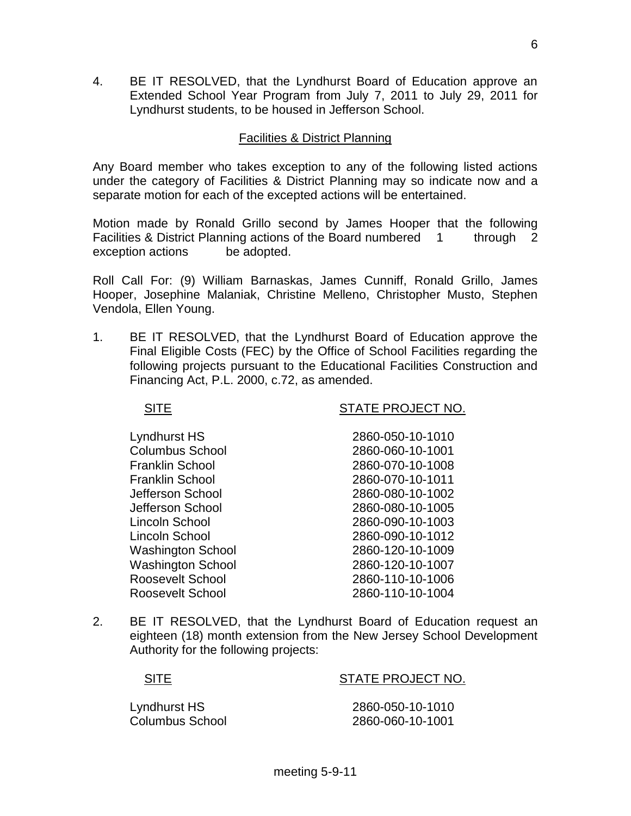4. BE IT RESOLVED, that the Lyndhurst Board of Education approve an Extended School Year Program from July 7, 2011 to July 29, 2011 for Lyndhurst students, to be housed in Jefferson School.

## Facilities & District Planning

Any Board member who takes exception to any of the following listed actions under the category of Facilities & District Planning may so indicate now and a separate motion for each of the excepted actions will be entertained.

Motion made by Ronald Grillo second by James Hooper that the following Facilities & District Planning actions of the Board numbered 1 through 2 exception actions be adopted.

Roll Call For: (9) William Barnaskas, James Cunniff, Ronald Grillo, James Hooper, Josephine Malaniak, Christine Melleno, Christopher Musto, Stephen Vendola, Ellen Young.

1. BE IT RESOLVED, that the Lyndhurst Board of Education approve the Final Eligible Costs (FEC) by the Office of School Facilities regarding the following projects pursuant to the Educational Facilities Construction and Financing Act, P.L. 2000, c.72, as amended.

SITE SITE STATE PROJECT NO.

| Lyndhurst HS             | 2860-050-10-1010 |
|--------------------------|------------------|
| <b>Columbus School</b>   | 2860-060-10-1001 |
| <b>Franklin School</b>   | 2860-070-10-1008 |
| <b>Franklin School</b>   | 2860-070-10-1011 |
| Jefferson School         | 2860-080-10-1002 |
| Jefferson School         | 2860-080-10-1005 |
| Lincoln School           | 2860-090-10-1003 |
| Lincoln School           | 2860-090-10-1012 |
| <b>Washington School</b> | 2860-120-10-1009 |
| <b>Washington School</b> | 2860-120-10-1007 |
| <b>Roosevelt School</b>  | 2860-110-10-1006 |
| Roosevelt School         | 2860-110-10-1004 |

2. BE IT RESOLVED, that the Lyndhurst Board of Education request an eighteen (18) month extension from the New Jersey School Development Authority for the following projects:

## SITE SITE STATE PROJECT NO.

Lyndhurst HS 2860-050-10-1010 Columbus School 2860-060-10-1001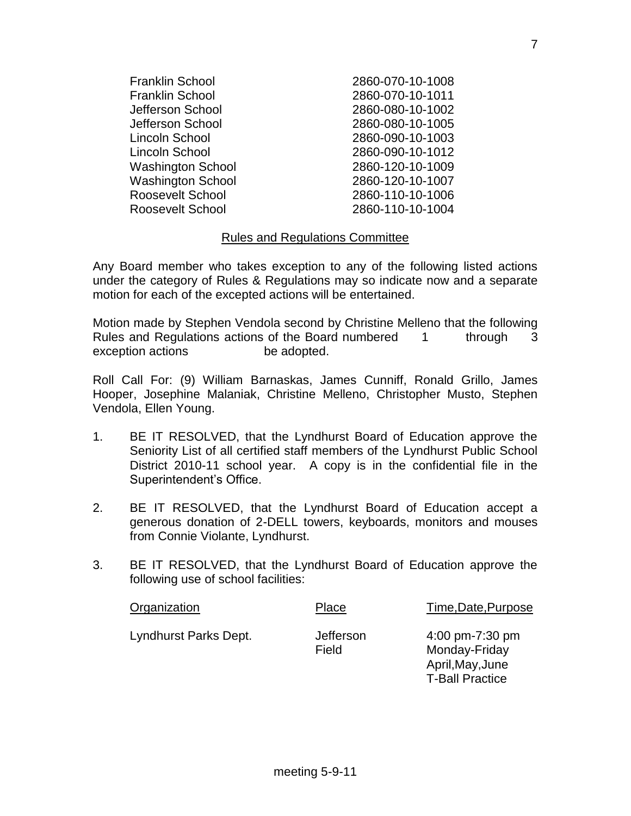| <b>Franklin School</b>   | 2860-070-10-1008 |
|--------------------------|------------------|
| <b>Franklin School</b>   | 2860-070-10-1011 |
| Jefferson School         | 2860-080-10-1002 |
| Jefferson School         | 2860-080-10-1005 |
| Lincoln School           | 2860-090-10-1003 |
| Lincoln School           | 2860-090-10-1012 |
| <b>Washington School</b> | 2860-120-10-1009 |
| <b>Washington School</b> | 2860-120-10-1007 |
| <b>Roosevelt School</b>  | 2860-110-10-1006 |
| Roosevelt School         | 2860-110-10-1004 |
|                          |                  |

## Rules and Regulations Committee

Any Board member who takes exception to any of the following listed actions under the category of Rules & Regulations may so indicate now and a separate motion for each of the excepted actions will be entertained.

Motion made by Stephen Vendola second by Christine Melleno that the following Rules and Regulations actions of the Board numbered 1 through 3 exception actions be adopted.

Roll Call For: (9) William Barnaskas, James Cunniff, Ronald Grillo, James Hooper, Josephine Malaniak, Christine Melleno, Christopher Musto, Stephen Vendola, Ellen Young.

- 1. BE IT RESOLVED, that the Lyndhurst Board of Education approve the Seniority List of all certified staff members of the Lyndhurst Public School District 2010-11 school year. A copy is in the confidential file in the Superintendent's Office.
- 2. BE IT RESOLVED, that the Lyndhurst Board of Education accept a generous donation of 2-DELL towers, keyboards, monitors and mouses from Connie Violante, Lyndhurst.
- 3. BE IT RESOLVED, that the Lyndhurst Board of Education approve the following use of school facilities:

meeting 5-9-11

| Organization          | Place              | Time, Date, Purpose                                  |
|-----------------------|--------------------|------------------------------------------------------|
| Lyndhurst Parks Dept. | Jefferson<br>Field | 4:00 pm-7:30 pm<br>Monday-Friday<br>April, May, June |

T-Ball Practice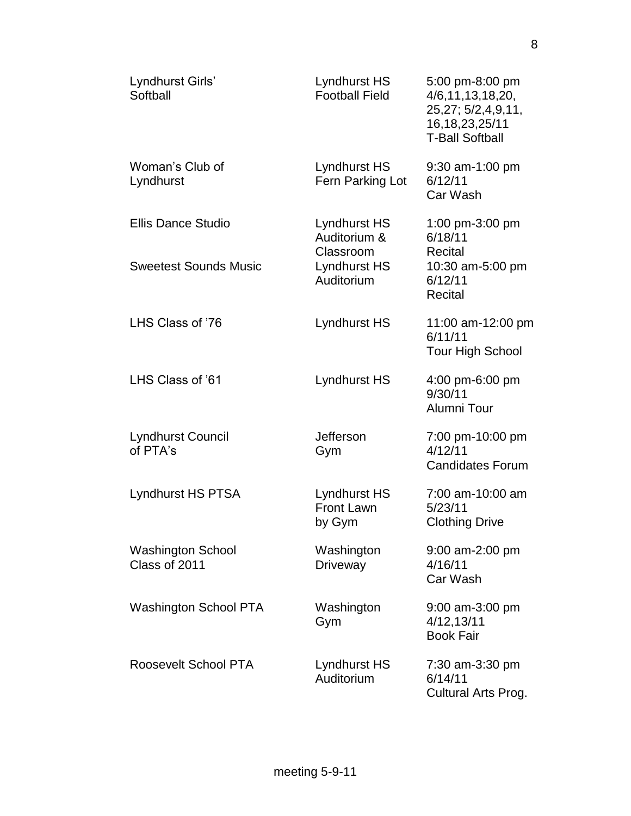| Lyndhurst Girls'<br>Softball              | Lyndhurst HS<br><b>Football Field</b>       | 5:00 pm-8:00 pm<br>4/6, 11, 13, 18, 20,<br>25,27; 5/2,4,9,11,<br>16, 18, 23, 25/11<br><b>T-Ball Softball</b> |
|-------------------------------------------|---------------------------------------------|--------------------------------------------------------------------------------------------------------------|
| Woman's Club of<br>Lyndhurst              | Lyndhurst HS<br>Fern Parking Lot            | 9:30 am-1:00 pm<br>6/12/11<br>Car Wash                                                                       |
| <b>Ellis Dance Studio</b>                 | Lyndhurst HS<br>Auditorium &<br>Classroom   | 1:00 pm-3:00 pm<br>6/18/11<br>Recital                                                                        |
| <b>Sweetest Sounds Music</b>              | Lyndhurst HS<br>Auditorium                  | 10:30 am-5:00 pm<br>6/12/11<br>Recital                                                                       |
| LHS Class of '76                          | Lyndhurst HS                                | 11:00 am-12:00 pm<br>6/11/11<br><b>Tour High School</b>                                                      |
| LHS Class of '61                          | Lyndhurst HS                                | 4:00 pm-6:00 pm<br>9/30/11<br>Alumni Tour                                                                    |
| <b>Lyndhurst Council</b><br>of PTA's      | Jefferson<br>Gym                            | 7:00 pm-10:00 pm<br>4/12/11<br><b>Candidates Forum</b>                                                       |
| <b>Lyndhurst HS PTSA</b>                  | Lyndhurst HS<br><b>Front Lawn</b><br>by Gym | 7:00 am-10:00 am<br>5/23/11<br><b>Clothing Drive</b>                                                         |
| <b>Washington School</b><br>Class of 2011 | Washington<br>Driveway                      | 9:00 am-2:00 pm<br>4/16/11<br>Car Wash                                                                       |
| Washington School PTA                     | Washington<br>Gym                           | 9:00 am-3:00 pm<br>4/12,13/11<br><b>Book Fair</b>                                                            |
| Roosevelt School PTA                      | Lyndhurst HS<br>Auditorium                  | 7:30 am-3:30 pm<br>6/14/11<br>Cultural Arts Prog.                                                            |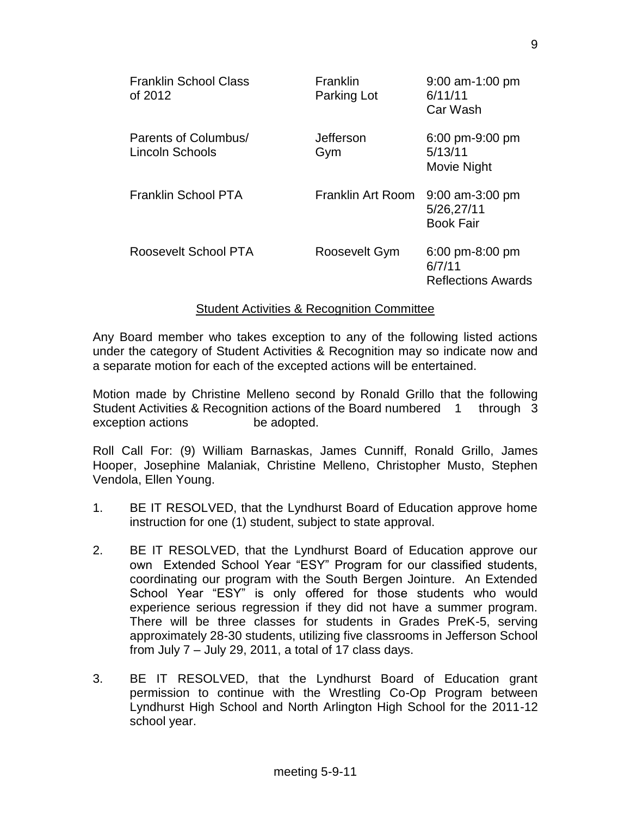| <b>Franklin School Class</b><br>of 2012 | Franklin<br>Parking Lot | $9:00$ am-1:00 pm<br>6/11/11<br>Car Wash            |
|-----------------------------------------|-------------------------|-----------------------------------------------------|
| Parents of Columbus/<br>Lincoln Schools | Jefferson<br>Gym        | 6:00 pm-9:00 pm<br>5/13/11<br>Movie Night           |
| Franklin School PTA                     | Franklin Art Room       | $9:00$ am-3:00 pm<br>5/26,27/11<br><b>Book Fair</b> |
| Roosevelt School PTA                    | Roosevelt Gym           | 6:00 pm-8:00 pm<br>6/7/11<br>Reflections Awards     |

## Student Activities & Recognition Committee

Any Board member who takes exception to any of the following listed actions under the category of Student Activities & Recognition may so indicate now and a separate motion for each of the excepted actions will be entertained.

Motion made by Christine Melleno second by Ronald Grillo that the following Student Activities & Recognition actions of the Board numbered 1 through 3 exception actions be adopted.

Roll Call For: (9) William Barnaskas, James Cunniff, Ronald Grillo, James Hooper, Josephine Malaniak, Christine Melleno, Christopher Musto, Stephen Vendola, Ellen Young.

- 1. BE IT RESOLVED, that the Lyndhurst Board of Education approve home instruction for one (1) student, subject to state approval.
- 2. BE IT RESOLVED, that the Lyndhurst Board of Education approve our own Extended School Year "ESY" Program for our classified students, coordinating our program with the South Bergen Jointure. An Extended School Year "ESY" is only offered for those students who would experience serious regression if they did not have a summer program. There will be three classes for students in Grades PreK-5, serving approximately 28-30 students, utilizing five classrooms in Jefferson School from July  $7 -$  July 29, 2011, a total of 17 class days.
- 3. BE IT RESOLVED, that the Lyndhurst Board of Education grant permission to continue with the Wrestling Co-Op Program between Lyndhurst High School and North Arlington High School for the 2011-12 school year.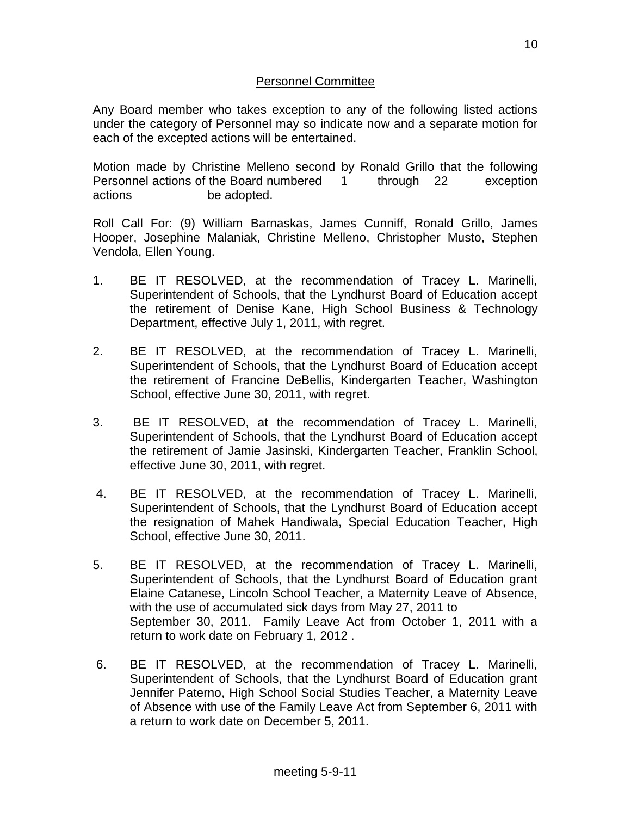## Personnel Committee

Any Board member who takes exception to any of the following listed actions under the category of Personnel may so indicate now and a separate motion for each of the excepted actions will be entertained.

Motion made by Christine Melleno second by Ronald Grillo that the following Personnel actions of the Board numbered 1 through 22 exception actions be adopted.

Roll Call For: (9) William Barnaskas, James Cunniff, Ronald Grillo, James Hooper, Josephine Malaniak, Christine Melleno, Christopher Musto, Stephen Vendola, Ellen Young.

- 1. BE IT RESOLVED, at the recommendation of Tracey L. Marinelli, Superintendent of Schools, that the Lyndhurst Board of Education accept the retirement of Denise Kane, High School Business & Technology Department, effective July 1, 2011, with regret.
- 2. BE IT RESOLVED, at the recommendation of Tracey L. Marinelli, Superintendent of Schools, that the Lyndhurst Board of Education accept the retirement of Francine DeBellis, Kindergarten Teacher, Washington School, effective June 30, 2011, with regret.
- 3. BE IT RESOLVED, at the recommendation of Tracey L. Marinelli, Superintendent of Schools, that the Lyndhurst Board of Education accept the retirement of Jamie Jasinski, Kindergarten Teacher, Franklin School, effective June 30, 2011, with regret.
- 4. BE IT RESOLVED, at the recommendation of Tracey L. Marinelli, Superintendent of Schools, that the Lyndhurst Board of Education accept the resignation of Mahek Handiwala, Special Education Teacher, High School, effective June 30, 2011.
- 5. BE IT RESOLVED, at the recommendation of Tracey L. Marinelli, Superintendent of Schools, that the Lyndhurst Board of Education grant Elaine Catanese, Lincoln School Teacher, a Maternity Leave of Absence, with the use of accumulated sick days from May 27, 2011 to September 30, 2011. Family Leave Act from October 1, 2011 with a return to work date on February 1, 2012 .
- 6. BE IT RESOLVED, at the recommendation of Tracey L. Marinelli, Superintendent of Schools, that the Lyndhurst Board of Education grant Jennifer Paterno, High School Social Studies Teacher, a Maternity Leave of Absence with use of the Family Leave Act from September 6, 2011 with a return to work date on December 5, 2011.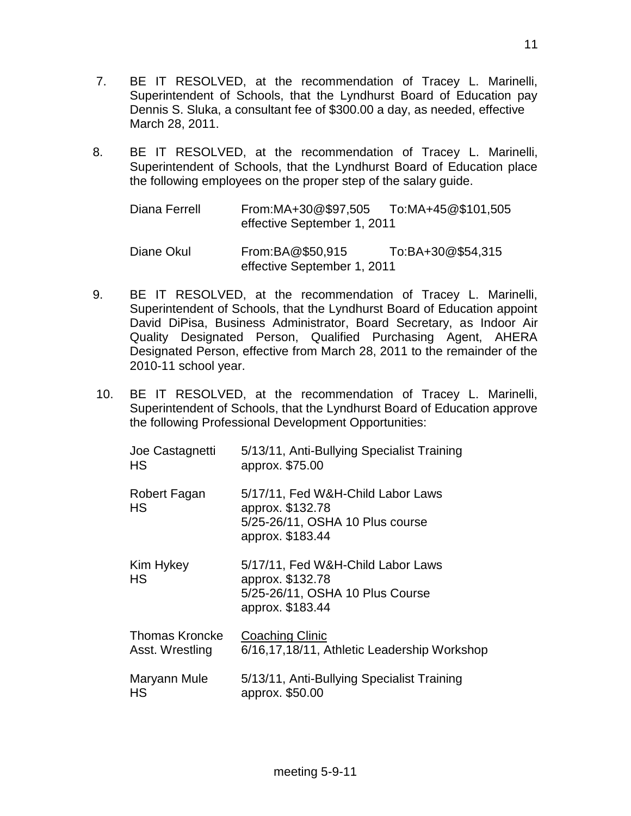- 7. BE IT RESOLVED, at the recommendation of Tracey L. Marinelli, Superintendent of Schools, that the Lyndhurst Board of Education pay Dennis S. Sluka, a consultant fee of \$300.00 a day, as needed, effective March 28, 2011.
- 8. BE IT RESOLVED, at the recommendation of Tracey L. Marinelli, Superintendent of Schools, that the Lyndhurst Board of Education place the following employees on the proper step of the salary guide.

Diana Ferrell From:MA+30@\$97,505 To:MA+45@\$101,505 effective September 1, 2011 Diane Okul From:BA@\$50,915 To:BA+30@\$54,315 effective September 1, 2011

- 9. BE IT RESOLVED, at the recommendation of Tracey L. Marinelli, Superintendent of Schools, that the Lyndhurst Board of Education appoint David DiPisa, Business Administrator, Board Secretary, as Indoor Air Quality Designated Person, Qualified Purchasing Agent, AHERA Designated Person, effective from March 28, 2011 to the remainder of the 2010-11 school year.
- 10. BE IT RESOLVED, at the recommendation of Tracey L. Marinelli, Superintendent of Schools, that the Lyndhurst Board of Education approve the following Professional Development Opportunities:

| Joe Castagnetti           | 5/13/11, Anti-Bullying Specialist Training                                                                   |
|---------------------------|--------------------------------------------------------------------------------------------------------------|
| HS                        | approx. \$75.00                                                                                              |
| Robert Fagan<br><b>HS</b> | 5/17/11, Fed W&H-Child Labor Laws<br>approx. \$132.78<br>5/25-26/11, OSHA 10 Plus course<br>approx. \$183.44 |
| Kim Hykey<br>HS           | 5/17/11, Fed W&H-Child Labor Laws<br>approx. \$132.78<br>5/25-26/11, OSHA 10 Plus Course<br>approx. \$183.44 |
| <b>Thomas Kroncke</b>     | Coaching Clinic                                                                                              |
| Asst. Wrestling           | 6/16,17,18/11, Athletic Leadership Workshop                                                                  |
| Maryann Mule              | 5/13/11, Anti-Bullying Specialist Training                                                                   |
| НS                        | approx. \$50.00                                                                                              |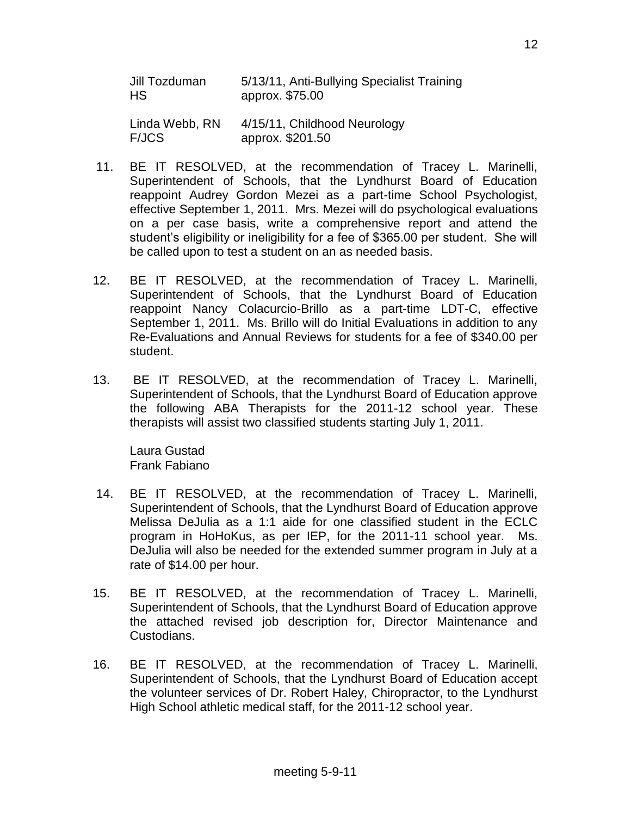| Jill Tozduman  | 5/13/11, Anti-Bullying Specialist Training |
|----------------|--------------------------------------------|
| HS             | approx. \$75.00                            |
| Linda Webb, RN | 4/15/11, Childhood Neurology               |
| <b>F/JCS</b>   | approx. \$201.50                           |

- 11. BE IT RESOLVED, at the recommendation of Tracey L. Marinelli, Superintendent of Schools, that the Lyndhurst Board of Education reappoint Audrey Gordon Mezei as a part-time School Psychologist, effective September 1, 2011. Mrs. Mezei will do psychological evaluations on a per case basis, write a comprehensive report and attend the student's eligibility or ineligibility for a fee of \$365.00 per student. She will be called upon to test a student on an as needed basis.
- 12. BE IT RESOLVED, at the recommendation of Tracey L. Marinelli, Superintendent of Schools, that the Lyndhurst Board of Education reappoint Nancy Colacurcio-Brillo as a part-time LDT-C, effective September 1, 2011. Ms. Brillo will do Initial Evaluations in addition to any Re-Evaluations and Annual Reviews for students for a fee of \$340.00 per student.
- 13. BE IT RESOLVED, at the recommendation of Tracey L. Marinelli, Superintendent of Schools, that the Lyndhurst Board of Education approve the following ABA Therapists for the 2011-12 school year. These therapists will assist two classified students starting July 1, 2011.

Laura Gustad Frank Fabiano

- 14. BE IT RESOLVED, at the recommendation of Tracey L. Marinelli, Superintendent of Schools, that the Lyndhurst Board of Education approve Melissa DeJulia as a 1:1 aide for one classified student in the ECLC program in HoHoKus, as per IEP, for the 2011-11 school year. Ms. DeJulia will also be needed for the extended summer program in July at a rate of \$14.00 per hour.
- 15. BE IT RESOLVED, at the recommendation of Tracey L. Marinelli, Superintendent of Schools, that the Lyndhurst Board of Education approve the attached revised job description for, Director Maintenance and Custodians.
- 16. BE IT RESOLVED, at the recommendation of Tracey L. Marinelli, Superintendent of Schools, that the Lyndhurst Board of Education accept the volunteer services of Dr. Robert Haley, Chiropractor, to the Lyndhurst High School athletic medical staff, for the 2011-12 school year.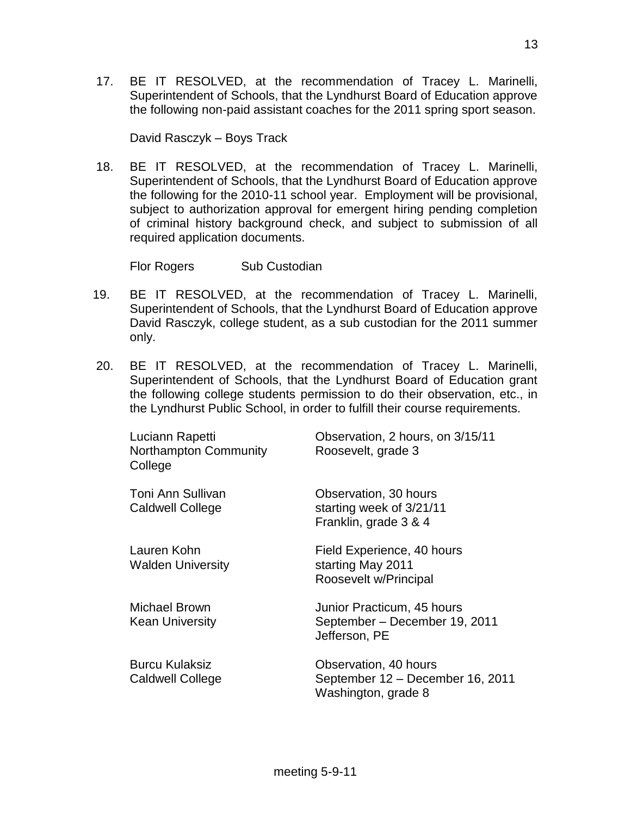17. BE IT RESOLVED, at the recommendation of Tracey L. Marinelli, Superintendent of Schools, that the Lyndhurst Board of Education approve the following non-paid assistant coaches for the 2011 spring sport season.

David Rasczyk – Boys Track

18. BE IT RESOLVED, at the recommendation of Tracey L. Marinelli, Superintendent of Schools, that the Lyndhurst Board of Education approve the following for the 2010-11 school year. Employment will be provisional, subject to authorization approval for emergent hiring pending completion of criminal history background check, and subject to submission of all required application documents.

Flor Rogers Sub Custodian

- 19. BE IT RESOLVED, at the recommendation of Tracey L. Marinelli, Superintendent of Schools, that the Lyndhurst Board of Education approve David Rasczyk, college student, as a sub custodian for the 2011 summer only.
- 20. BE IT RESOLVED, at the recommendation of Tracey L. Marinelli, Superintendent of Schools, that the Lyndhurst Board of Education grant the following college students permission to do their observation, etc., in the Lyndhurst Public School, in order to fulfill their course requirements.

| Luciann Rapetti<br>Northampton Community<br>College | Observation, 2 hours, on 3/15/11<br>Roosevelt, grade 3                           |
|-----------------------------------------------------|----------------------------------------------------------------------------------|
| Toni Ann Sullivan<br><b>Caldwell College</b>        | Observation, 30 hours<br>starting week of 3/21/11<br>Franklin, grade 3 & 4       |
| Lauren Kohn<br><b>Walden University</b>             | Field Experience, 40 hours<br>starting May 2011<br>Roosevelt w/Principal         |
| Michael Brown<br><b>Kean University</b>             | Junior Practicum, 45 hours<br>September - December 19, 2011<br>Jefferson, PE     |
| <b>Burcu Kulaksiz</b><br><b>Caldwell College</b>    | Observation, 40 hours<br>September 12 - December 16, 2011<br>Washington, grade 8 |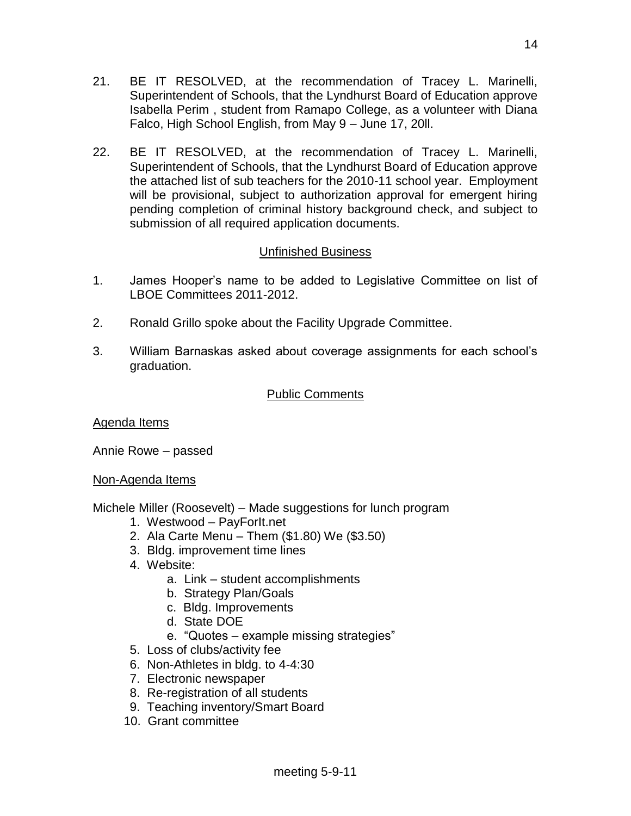- 21. BE IT RESOLVED, at the recommendation of Tracey L. Marinelli, Superintendent of Schools, that the Lyndhurst Board of Education approve Isabella Perim , student from Ramapo College, as a volunteer with Diana Falco, High School English, from May 9 – June 17, 20ll.
- 22. BE IT RESOLVED, at the recommendation of Tracey L. Marinelli, Superintendent of Schools, that the Lyndhurst Board of Education approve the attached list of sub teachers for the 2010-11 school year. Employment will be provisional, subject to authorization approval for emergent hiring pending completion of criminal history background check, and subject to submission of all required application documents.

# Unfinished Business

- 1. James Hooper's name to be added to Legislative Committee on list of LBOE Committees 2011-2012.
- 2. Ronald Grillo spoke about the Facility Upgrade Committee.
- 3. William Barnaskas asked about coverage assignments for each school's graduation.

# Public Comments

Agenda Items

Annie Rowe – passed

Non-Agenda Items

Michele Miller (Roosevelt) – Made suggestions for lunch program

- 1. Westwood PayForIt.net
- 2. Ala Carte Menu Them (\$1.80) We (\$3.50)
- 3. Bldg. improvement time lines
- 4. Website:
	- a. Link student accomplishments
	- b. Strategy Plan/Goals
	- c. Bldg. Improvements
	- d. State DOE
	- e. "Quotes example missing strategies"
- 5. Loss of clubs/activity fee
- 6. Non-Athletes in bldg. to 4-4:30
- 7. Electronic newspaper
- 8. Re-registration of all students
- 9. Teaching inventory/Smart Board
- 10. Grant committee